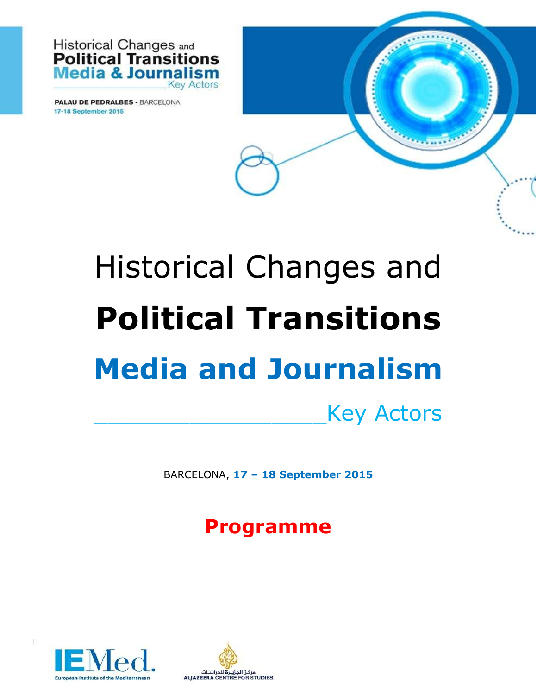

**PALAU DE PEDRALBES - BARCELONA** 17-18 September 2015

## Historical Changes and **Political Transitions Media and Journalism**

\_\_\_\_\_\_\_\_\_\_\_\_\_\_\_\_\_Key Actors

BARCELONA, **17 – 18 September 2015**

**Programme**



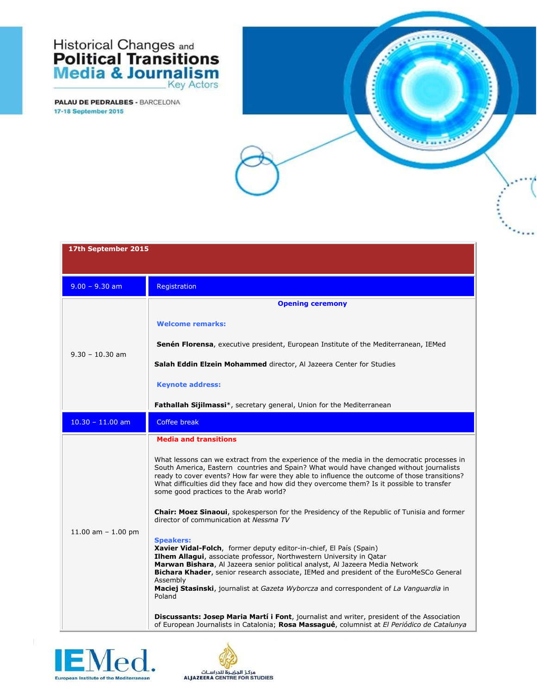## **Historical Changes and<br>Political Transitions<br>Media & Journalism Key Actors**

| 17th September 2015  |                                                                                                                                                                                                                                                                                                                                                                                                                                                           |
|----------------------|-----------------------------------------------------------------------------------------------------------------------------------------------------------------------------------------------------------------------------------------------------------------------------------------------------------------------------------------------------------------------------------------------------------------------------------------------------------|
|                      |                                                                                                                                                                                                                                                                                                                                                                                                                                                           |
| $9.00 - 9.30$ am     | Registration                                                                                                                                                                                                                                                                                                                                                                                                                                              |
| $9.30 - 10.30$ am    | <b>Opening ceremony</b>                                                                                                                                                                                                                                                                                                                                                                                                                                   |
|                      | <b>Welcome remarks:</b>                                                                                                                                                                                                                                                                                                                                                                                                                                   |
|                      | <b>Senén Florensa</b> , executive president, European Institute of the Mediterranean, IEMed                                                                                                                                                                                                                                                                                                                                                               |
|                      | Salah Eddin Elzein Mohammed director, Al Jazeera Center for Studies                                                                                                                                                                                                                                                                                                                                                                                       |
|                      | <b>Keynote address:</b>                                                                                                                                                                                                                                                                                                                                                                                                                                   |
|                      | Fathallah Sijilmassi*, secretary general, Union for the Mediterranean                                                                                                                                                                                                                                                                                                                                                                                     |
| $10.30 - 11.00$ am   | Coffee break                                                                                                                                                                                                                                                                                                                                                                                                                                              |
|                      | <b>Media and transitions</b>                                                                                                                                                                                                                                                                                                                                                                                                                              |
| 11.00 am $- 1.00$ pm | What lessons can we extract from the experience of the media in the democratic processes in<br>South America, Eastern countries and Spain? What would have changed without journalists<br>ready to cover events? How far were they able to influence the outcome of those transitions?<br>What difficulties did they face and how did they overcome them? Is it possible to transfer<br>some good practices to the Arab world?                            |
|                      | <b>Chair: Moez Sinaoui</b> , spokesperson for the Presidency of the Republic of Tunisia and former<br>director of communication at Nessma TV                                                                                                                                                                                                                                                                                                              |
|                      | <b>Speakers:</b><br>Xavier Vidal-Folch, former deputy editor-in-chief, El País (Spain)<br>Ilhem Allagui, associate professor, Northwestern University in Qatar<br>Marwan Bishara, Al Jazeera senior political analyst, Al Jazeera Media Network<br>Bichara Khader, senior research associate, IEMed and president of the EuroMeSCo General<br>Assembly<br>Maciej Stasinski, journalist at Gazeta Wyborcza and correspondent of La Vanguardia in<br>Poland |
|                      | Discussants: Josep Maria Martí i Font, journalist and writer, president of the Association<br>of European Journalists in Catalonia; Rosa Massagué, columnist at El Periódico de Catalunya                                                                                                                                                                                                                                                                 |



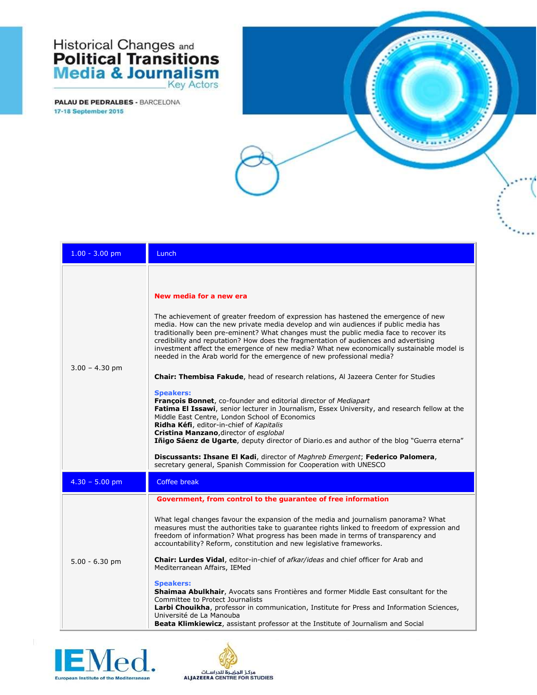## **Historical Changes and<br>Political Transitions<br>Media & Journalism** Key Actors

| $1.00 - 3.00$ pm | Lunch                                                                                                                                                                                                                                                                                                                                                                                                                                                                                                                                                                                                                                                                                                                                                                                                                                                                                                                                                                                                                                                                                                                                                                                                                              |
|------------------|------------------------------------------------------------------------------------------------------------------------------------------------------------------------------------------------------------------------------------------------------------------------------------------------------------------------------------------------------------------------------------------------------------------------------------------------------------------------------------------------------------------------------------------------------------------------------------------------------------------------------------------------------------------------------------------------------------------------------------------------------------------------------------------------------------------------------------------------------------------------------------------------------------------------------------------------------------------------------------------------------------------------------------------------------------------------------------------------------------------------------------------------------------------------------------------------------------------------------------|
| $3.00 - 4.30$ pm | New media for a new era<br>The achievement of greater freedom of expression has hastened the emergence of new<br>media. How can the new private media develop and win audiences if public media has<br>traditionally been pre-eminent? What changes must the public media face to recover its<br>credibility and reputation? How does the fragmentation of audiences and advertising<br>investment affect the emergence of new media? What new economically sustainable model is<br>needed in the Arab world for the emergence of new professional media?<br>Chair: Thembisa Fakude, head of research relations, Al Jazeera Center for Studies<br><b>Speakers:</b><br>François Bonnet, co-founder and editorial director of Mediapart<br>Fatima El Issawi, senior lecturer in Journalism, Essex University, and research fellow at the<br>Middle East Centre, London School of Economics<br>Ridha Kéfi, editor-in-chief of Kapitalis<br>Cristina Manzano, director of esglobal<br>Tñigo Sáenz de Ugarte, deputy director of Diario.es and author of the blog "Guerra eterna"<br>Discussants: Ihsane El Kadi, director of Maghreb Emergent; Federico Palomera,<br>secretary general, Spanish Commission for Cooperation with UNESCO |
| $4.30 - 5.00$ pm | <b>Coffee break</b>                                                                                                                                                                                                                                                                                                                                                                                                                                                                                                                                                                                                                                                                                                                                                                                                                                                                                                                                                                                                                                                                                                                                                                                                                |
| $5.00 - 6.30$ pm | Government, from control to the guarantee of free information<br>What legal changes favour the expansion of the media and journalism panorama? What<br>measures must the authorities take to guarantee rights linked to freedom of expression and<br>freedom of information? What progress has been made in terms of transparency and<br>accountability? Reform, constitution and new legislative frameworks.<br>Chair: Lurdes Vidal, editor-in-chief of afkar/ideas and chief officer for Arab and<br>Mediterranean Affairs, IEMed<br><b>Speakers:</b><br>Shaimaa Abulkhair, Avocats sans Frontières and former Middle East consultant for the<br>Committee to Protect Journalists<br>Larbi Chouikha, professor in communication, Institute for Press and Information Sciences,<br>Université de La Manouba<br>Beata Klimkiewicz, assistant professor at the Institute of Journalism and Social                                                                                                                                                                                                                                                                                                                                   |



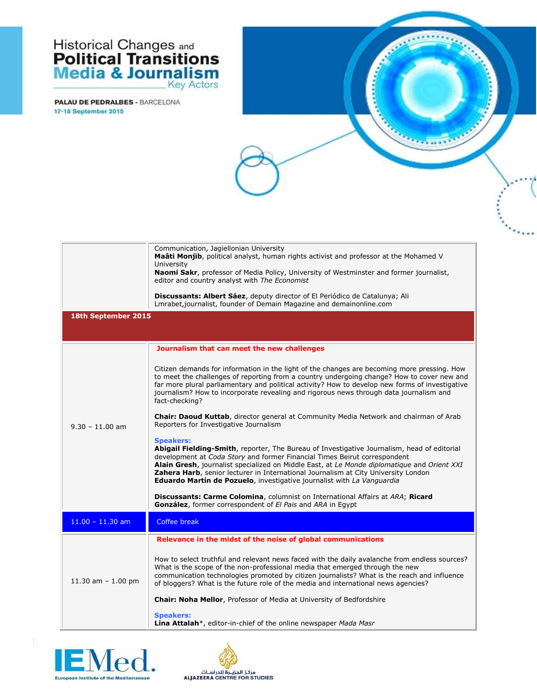## **Historical Changes and<br>Political Transitions<br>Media & Journalism** Key Actors

|                      | Communication, Jagiellonian University<br>Maâti Monjib, political analyst, human rights activist and professor at the Mohamed V<br>University<br>Naomi Sakr, professor of Media Policy, University of Westminster and former journalist,<br>editor and country analyst with The Economist<br>Discussants: Albert Sáez, deputy director of El Periódico de Catalunya; Ali<br>Lmrabet, journalist, founder of Demain Magazine and demainonline.com                    |
|----------------------|---------------------------------------------------------------------------------------------------------------------------------------------------------------------------------------------------------------------------------------------------------------------------------------------------------------------------------------------------------------------------------------------------------------------------------------------------------------------|
| 18th September 2015  |                                                                                                                                                                                                                                                                                                                                                                                                                                                                     |
|                      | Journalism that can meet the new challenges                                                                                                                                                                                                                                                                                                                                                                                                                         |
| $9.30 - 11.00$ am    | Citizen demands for information in the light of the changes are becoming more pressing. How<br>to meet the challenges of reporting from a country undergoing change? How to cover new and<br>far more plural parliamentary and political activity? How to develop new forms of investigative<br>journalism? How to incorporate revealing and rigorous news through data journalism and<br>fact-checking?                                                            |
|                      | Chair: Daoud Kuttab, director general at Community Media Network and chairman of Arab<br>Reporters for Investigative Journalism                                                                                                                                                                                                                                                                                                                                     |
|                      | <b>Speakers:</b><br>Abigail Fielding-Smith, reporter, The Bureau of Investigative Journalism, head of editorial<br>development at Coda Story and former Financial Times Beirut correspondent<br>Alain Gresh, journalist specialized on Middle East, at Le Monde diplomatique and Orient XXI<br>Zahera Harb, senior lecturer in International Journalism at City University London<br><b>Eduardo Martín de Pozuelo</b> , investigative journalist with La Vanguardia |
|                      | Discussants: Carme Colomina, columnist on International Affairs at ARA; Ricard<br>González, former correspondent of El Pais and ARA in Egypt                                                                                                                                                                                                                                                                                                                        |
| $11.00 - 11.30$ am   | Coffee break                                                                                                                                                                                                                                                                                                                                                                                                                                                        |
|                      | Relevance in the midst of the noise of global communications                                                                                                                                                                                                                                                                                                                                                                                                        |
| 11.30 am $- 1.00$ pm | How to select truthful and relevant news faced with the daily avalanche from endless sources?<br>What is the scope of the non-professional media that emerged through the new<br>communication technologies promoted by citizen journalists? What is the reach and influence<br>of bloggers? What is the future role of the media and international news agencies?<br>Chair: Noha Mellor, Professor of Media at University of Bedfordshire                          |
|                      | <b>Speakers:</b><br><b>Lina Attalah</b> *, editor-in-chief of the online newspaper <i>Mada Masr</i>                                                                                                                                                                                                                                                                                                                                                                 |